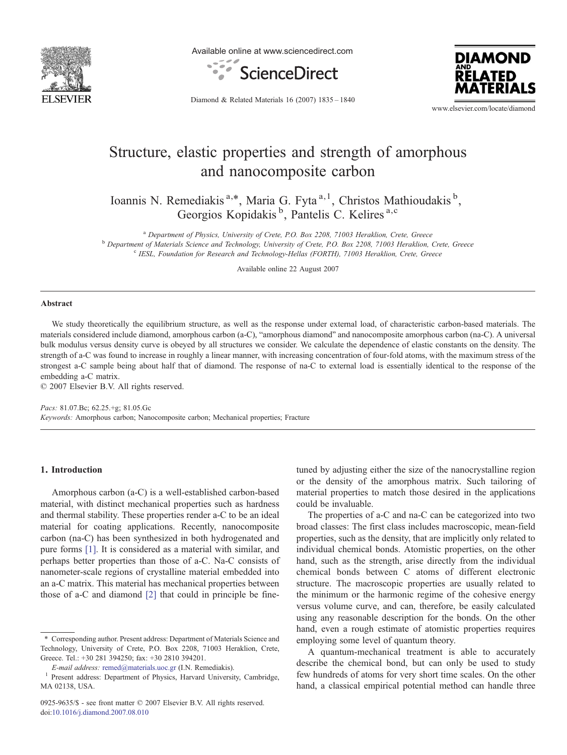

Available online at www.sciencedirect.com





Diamond & Related Materials 16 (2007) 1835–1840

www.elsevier.com/locate/diamond

# Structure, elastic properties and strength of amorphous and nanocomposite carbon

Ioannis N. Remediakis<sup>a,\*</sup>, Maria G. Fyta<sup>a,1</sup>, Christos Mathioudakis<sup>b</sup>, Georgios Kopidakis<sup>b</sup>, Pantelis C. Kelires<sup>a,c</sup>

<sup>a</sup> Department of Physics, University of Crete, P.O. Box 2208, 71003 Heraklion, Crete, Greece b Department of Materials Science and Technology, University of Crete, P.O. Box 2208, 71003 Heraklion, Crete, Greece <sup>c</sup> IESL, Foundation for Research and Technology-Hellas (FORTH), 71003 Heraklion, Crete, Greece

Available online 22 August 2007

#### **Abstract**

We study theoretically the equilibrium structure, as well as the response under external load, of characteristic carbon-based materials. The materials considered include diamond, amorphous carbon (a-C), "amorphous diamond" and nanocomposite amorphous carbon (na-C). A universal bulk modulus versus density curve is obeyed by all structures we consider. We calculate the dependence of elastic constants on the density. The strength of a-C was found to increase in roughly a linear manner, with increasing concentration of four-fold atoms, with the maximum stress of the strongest a-C sample being about half that of diamond. The response of na-C to external load is essentially identical to the response of the embedding a-C matrix.

© 2007 Elsevier B.V. All rights reserved.

Pacs: 81.07.Bc; 62.25.+g; 81.05.Gc Keywords: Amorphous carbon; Nanocomposite carbon; Mechanical properties; Fracture

# 1. Introduction

Amorphous carbon (a-C) is a well-established carbon-based material, with distinct mechanical properties such as hardness and thermal stability. These properties render a-C to be an ideal material for coating applications. Recently, nanocomposite carbon (na-C) has been synthesized in both hydrogenated and pure forms [\[1\].](#page-5-0) It is considered as a material with similar, and perhaps better properties than those of a-C. Na-C consists of nanometer-scale regions of crystalline material embedded into an a-C matrix. This material has mechanical properties between those of a-C and diamond [\[2\]](#page-5-0) that could in principle be finetuned by adjusting either the size of the nanocrystalline region or the density of the amorphous matrix. Such tailoring of material properties to match those desired in the applications could be invaluable.

The properties of a-C and na-C can be categorized into two broad classes: The first class includes macroscopic, mean-field properties, such as the density, that are implicitly only related to individual chemical bonds. Atomistic properties, on the other hand, such as the strength, arise directly from the individual chemical bonds between C atoms of different electronic structure. The macroscopic properties are usually related to the minimum or the harmonic regime of the cohesive energy versus volume curve, and can, therefore, be easily calculated using any reasonable description for the bonds. On the other hand, even a rough estimate of atomistic properties requires employing some level of quantum theory.

A quantum-mechanical treatment is able to accurately describe the chemical bond, but can only be used to study few hundreds of atoms for very short time scales. On the other hand, a classical empirical potential method can handle three

<sup>⁎</sup> Corresponding author. Present address: Department of Materials Science and Technology, University of Crete, P.O. Box 2208, 71003 Heraklion, Crete, Greece. Tel.: +30 281 394250; fax: +30 2810 394201.

E-mail address: [remed@materials.uoc.gr](mailto:remed@materials.uoc.gr) (I.N. Remediakis). <sup>1</sup> Present address: Department of Physics, Harvard University, Cambridge, MA 02138, USA.

<sup>0925-9635/\$ -</sup> see front matter © 2007 Elsevier B.V. All rights reserved. doi:[10.1016/j.diamond.2007.08.010](http://dx.doi.org/10.1016/j.diamond.2007.08.010)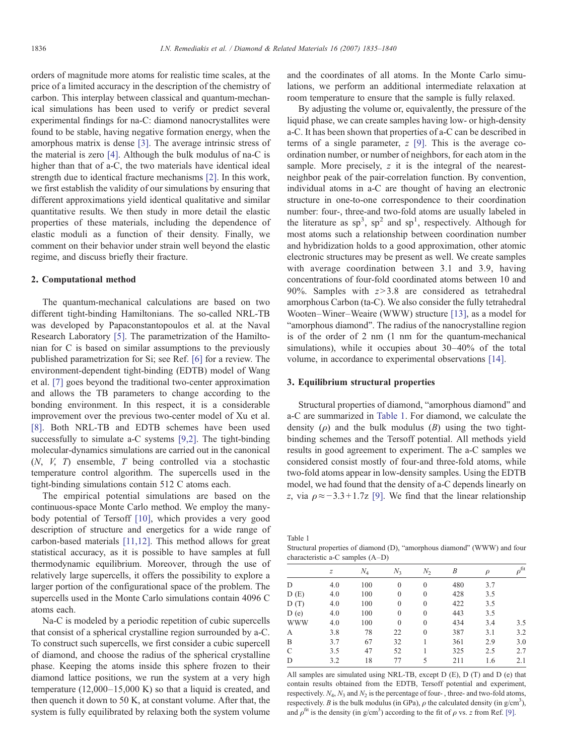orders of magnitude more atoms for realistic time scales, at the price of a limited accuracy in the description of the chemistry of carbon. This interplay between classical and quantum-mechanical simulations has been used to verify or predict several experimental findings for na-C: diamond nanocrystallites were found to be stable, having negative formation energy, when the amorphous matrix is dense [\[3\]](#page-5-0). The average intrinsic stress of the material is zero [\[4\]](#page-5-0). Although the bulk modulus of na-C is higher than that of a-C, the two materials have identical ideal strength due to identical fracture mechanisms [\[2\].](#page-5-0) In this work, we first establish the validity of our simulations by ensuring that different approximations yield identical qualitative and similar quantitative results. We then study in more detail the elastic properties of these materials, including the dependence of elastic moduli as a function of their density. Finally, we comment on their behavior under strain well beyond the elastic regime, and discuss briefly their fracture.

## 2. Computational method

The quantum-mechanical calculations are based on two different tight-binding Hamiltonians. The so-called NRL-TB was developed by Papaconstantopoulos et al. at the Naval Research Laboratory [\[5\]](#page-5-0). The parametrization of the Hamiltonian for C is based on similar assumptions to the previously published parametrization for Si; see Ref. [\[6\]](#page-5-0) for a review. The environment-dependent tight-binding (EDTB) model of Wang et al. [\[7\]](#page-5-0) goes beyond the traditional two-center approximation and allows the TB parameters to change according to the bonding environment. In this respect, it is a considerable improvement over the previous two-center model of Xu et al. [\[8\]](#page-5-0). Both NRL-TB and EDTB schemes have been used successfully to simulate a-C systems [\[9,2\]](#page-5-0). The tight-binding molecular-dynamics simulations are carried out in the canonical (N, V, T) ensemble, T being controlled via a stochastic temperature control algorithm. The supercells used in the tight-binding simulations contain 512 C atoms each.

The empirical potential simulations are based on the continuous-space Monte Carlo method. We employ the manybody potential of Tersoff [\[10\]](#page-5-0), which provides a very good description of structure and energetics for a wide range of carbon-based materials [\[11,12\].](#page-5-0) This method allows for great statistical accuracy, as it is possible to have samples at full thermodynamic equilibrium. Moreover, through the use of relatively large supercells, it offers the possibility to explore a larger portion of the configurational space of the problem. The supercells used in the Monte Carlo simulations contain 4096 C atoms each.

Na-C is modeled by a periodic repetition of cubic supercells that consist of a spherical crystalline region surrounded by a-C. To construct such supercells, we first consider a cubic supercell of diamond, and choose the radius of the spherical crystalline phase. Keeping the atoms inside this sphere frozen to their diamond lattice positions, we run the system at a very high temperature (12,000–15,000 K) so that a liquid is created, and then quench it down to 50 K, at constant volume. After that, the system is fully equilibrated by relaxing both the system volume

and the coordinates of all atoms. In the Monte Carlo simulations, we perform an additional intermediate relaxation at room temperature to ensure that the sample is fully relaxed.

By adjusting the volume or, equivalently, the pressure of the liquid phase, we can create samples having low- or high-density a-C. It has been shown that properties of a-C can be described in terms of a single parameter,  $z$  [\[9\]](#page-5-0). This is the average coordination number, or number of neighbors, for each atom in the sample. More precisely, z it is the integral of the nearestneighbor peak of the pair-correlation function. By convention, individual atoms in a-C are thought of having an electronic structure in one-to-one correspondence to their coordination number: four-, three-and two-fold atoms are usually labeled in the literature as  $sp^3$ ,  $sp^2$  and  $sp^1$ , respectively. Although for most atoms such a relationship between coordination number and hybridization holds to a good approximation, other atomic electronic structures may be present as well. We create samples with average coordination between 3.1 and 3.9, having concentrations of four-fold coordinated atoms between 10 and 90%. Samples with  $z > 3.8$  are considered as tetrahedral amorphous Carbon (ta-C). We also consider the fully tetrahedral Wooten–Winer–Weaire (WWW) structure [\[13\]](#page-5-0), as a model for "amorphous diamond". The radius of the nanocrystalline region is of the order of 2 nm (1 nm for the quantum-mechanical simulations), while it occupies about 30–40% of the total volume, in accordance to experimental observations [\[14\].](#page-5-0)

#### 3. Equilibrium structural properties

Structural properties of diamond, "amorphous diamond" and a-C are summarized in Table 1. For diamond, we calculate the density  $(\rho)$  and the bulk modulus  $(B)$  using the two tightbinding schemes and the Tersoff potential. All methods yield results in good agreement to experiment. The a-C samples we considered consist mostly of four-and three-fold atoms, while two-fold atoms appear in low-density samples. Using the EDTB model, we had found that the density of a-C depends linearly on z, via  $\rho \approx$ −3.3+1.7z [\[9\].](#page-5-0) We find that the linear relationship

Table 1

Structural properties of diamond (D), "amorphous diamond" (WWW) and four characteristic a-C samples (A–D)

|            | $\boldsymbol{Z}$ | $N_4$ | $N_3$    | N <sub>2</sub> | B   | $\rho$ | $\rho^{\rm fit}$ |
|------------|------------------|-------|----------|----------------|-----|--------|------------------|
| D          | 4.0              | 100   | $\theta$ | $\theta$       | 480 | 3.7    |                  |
| D(E)       | 4.0              | 100   | $\theta$ | $\theta$       | 428 | 3.5    |                  |
| D(T)       | 4.0              | 100   | $\theta$ | $\theta$       | 422 | 3.5    |                  |
| D(e)       | 4.0              | 100   | $\theta$ | $\theta$       | 443 | 3.5    |                  |
| <b>WWW</b> | 4.0              | 100   | $\theta$ | $\theta$       | 434 | 3.4    | 3.5              |
| А          | 3.8              | 78    | 22       | $\theta$       | 387 | 3.1    | 3.2              |
| B          | 3.7              | 67    | 32       |                | 361 | 2.9    | 3.0              |
| C          | 3.5              | 47    | 52       |                | 325 | 2.5    | 2.7              |
| D          | 3.2              | 18    | 77       | 5              | 211 | 1.6    | 2.1              |
|            |                  |       |          |                |     |        |                  |

All samples are simulated using NRL-TB, except D (E), D (T) and D (e) that contain results obtained from the EDTB, Tersoff potential and experiment, respectively.  $N_4$ ,  $N_3$  and  $N_2$  is the percentage of four-, three- and two-fold atoms, respectively. B is the bulk modulus (in GPa),  $\rho$  the calculated density (in  $g/cm^3$ ), and  $\rho^{\text{fit}}$  is the density (in g/cm<sup>3</sup>) according to the fit of  $\rho$  vs. z from Ref. [\[9\]](#page-5-0).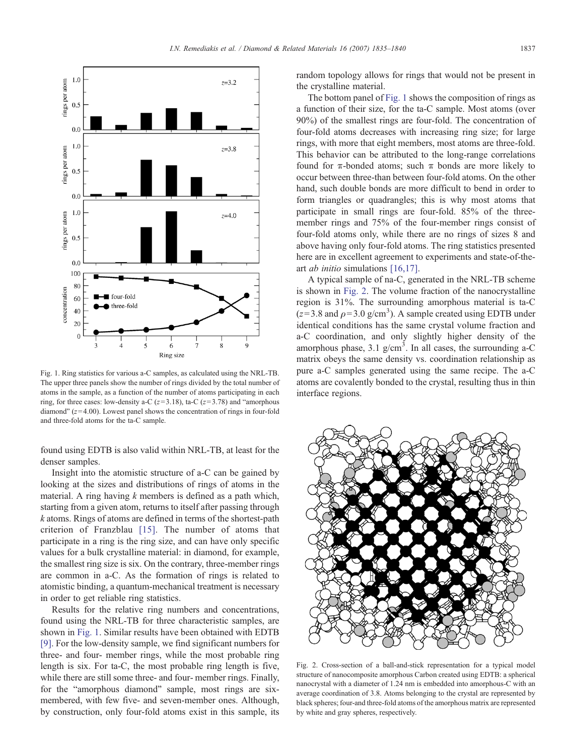

Fig. 1. Ring statistics for various a-C samples, as calculated using the NRL-TB. The upper three panels show the number of rings divided by the total number of atoms in the sample, as a function of the number of atoms participating in each ring, for three cases: low-density a-C ( $z=3.18$ ), ta-C ( $z=3.78$ ) and "amorphous diamond"  $(z=4.00)$ . Lowest panel shows the concentration of rings in four-fold and three-fold atoms for the ta-C sample.

found using EDTB is also valid within NRL-TB, at least for the denser samples.

Insight into the atomistic structure of a-C can be gained by looking at the sizes and distributions of rings of atoms in the material. A ring having  $k$  members is defined as a path which, starting from a given atom, returns to itself after passing through k atoms. Rings of atoms are defined in terms of the shortest-path criterion of Franzblau [\[15\]](#page-5-0). The number of atoms that participate in a ring is the ring size, and can have only specific values for a bulk crystalline material: in diamond, for example, the smallest ring size is six. On the contrary, three-member rings are common in a-C. As the formation of rings is related to atomistic binding, a quantum-mechanical treatment is necessary in order to get reliable ring statistics.

Results for the relative ring numbers and concentrations, found using the NRL-TB for three characteristic samples, are shown in Fig. 1. Similar results have been obtained with EDTB [\[9\].](#page-5-0) For the low-density sample, we find significant numbers for three- and four- member rings, while the most probable ring length is six. For ta-C, the most probable ring length is five, while there are still some three- and four- member rings. Finally, for the "amorphous diamond" sample, most rings are sixmembered, with few five- and seven-member ones. Although, by construction, only four-fold atoms exist in this sample, its random topology allows for rings that would not be present in the crystalline material.

The bottom panel of Fig. 1 shows the composition of rings as a function of their size, for the ta-C sample. Most atoms (over 90%) of the smallest rings are four-fold. The concentration of four-fold atoms decreases with increasing ring size; for large rings, with more that eight members, most atoms are three-fold. This behavior can be attributed to the long-range correlations found for π-bonded atoms; such π bonds are more likely to occur between three-than between four-fold atoms. On the other hand, such double bonds are more difficult to bend in order to form triangles or quadrangles; this is why most atoms that participate in small rings are four-fold. 85% of the threemember rings and 75% of the four-member rings consist of four-fold atoms only, while there are no rings of sizes 8 and above having only four-fold atoms. The ring statistics presented here are in excellent agreement to experiments and state-of-theart ab initio simulations [\[16,17\].](#page-5-0)

A typical sample of na-C, generated in the NRL-TB scheme is shown in Fig. 2. The volume fraction of the nanocrystalline region is 31%. The surrounding amorphous material is ta-C  $(z=3.8$  and  $\rho=3.0$  g/cm<sup>3</sup>). A sample created using EDTB under identical conditions has the same crystal volume fraction and a-C coordination, and only slightly higher density of the amorphous phase,  $3.1 \text{ g/cm}^3$ . In all cases, the surrounding a-C matrix obeys the same density vs. coordination relationship as pure a-C samples generated using the same recipe. The a-C atoms are covalently bonded to the crystal, resulting thus in thin interface regions.



Fig. 2. Cross-section of a ball-and-stick representation for a typical model structure of nanocomposite amorphous Carbon created using EDTB: a spherical nanocrystal with a diameter of 1.24 nm is embedded into amorphous-C with an average coordination of 3.8. Atoms belonging to the crystal are represented by black spheres; four-and three-fold atoms of the amorphous matrix are represented by white and gray spheres, respectively.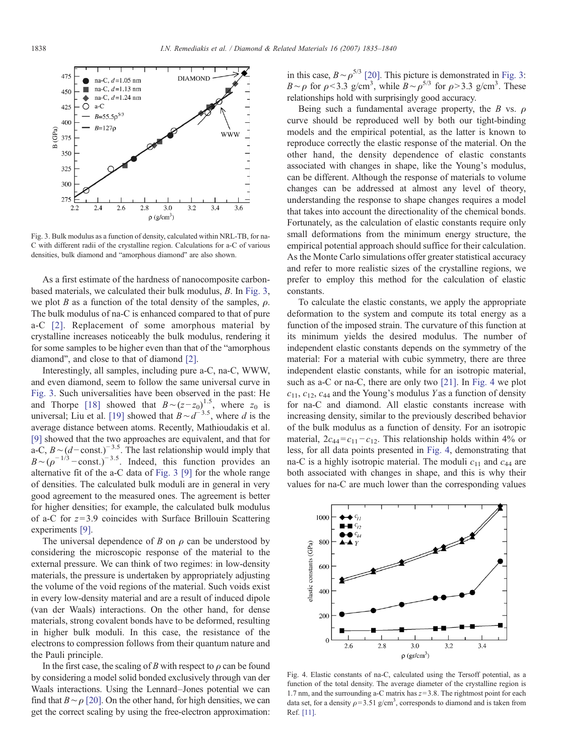

Fig. 3. Bulk modulus as a function of density, calculated within NRL-TB, for na-C with different radii of the crystalline region. Calculations for a-C of various densities, bulk diamond and "amorphous diamond" are also shown.

As a first estimate of the hardness of nanocomposite carbonbased materials, we calculated their bulk modulus, B. In Fig. 3, we plot B as a function of the total density of the samples,  $\rho$ . The bulk modulus of na-C is enhanced compared to that of pure a-C [\[2\]](#page-5-0). Replacement of some amorphous material by crystalline increases noticeably the bulk modulus, rendering it for some samples to be higher even than that of the "amorphous diamond", and close to that of diamond [\[2\]](#page-5-0).

Interestingly, all samples, including pure a-C, na-C, WWW, and even diamond, seem to follow the same universal curve in Fig. 3. Such universalities have been observed in the past: He and Thorpe [\[18\]](#page-5-0) showed that  $B \sim (z - z_0)^{1.5}$ , where  $z_0$  is universal; Liu et al. [\[19\]](#page-5-0) showed that  $B \sim d^{-3.5}$ , where d is the average distance between atoms. Recently, Mathioudakis et al. [\[9\]](#page-5-0) showed that the two approaches are equivalent, and that for a-C,  $B \sim (d-\text{const.})^{-3.5}$ . The last relationship would imply that  $B~(p^{-1/3}-const.)^{-3.5}$ . Indeed, this function provides an alternative fit of the a-C data of Fig. 3 [\[9\]](#page-5-0) for the whole range of densities. The calculated bulk moduli are in general in very good agreement to the measured ones. The agreement is better for higher densities; for example, the calculated bulk modulus of a-C for  $z=3.9$  coincides with Surface Brillouin Scattering experiments [\[9\]](#page-5-0).

The universal dependence of B on  $\rho$  can be understood by considering the microscopic response of the material to the external pressure. We can think of two regimes: in low-density materials, the pressure is undertaken by appropriately adjusting the volume of the void regions of the material. Such voids exist in every low-density material and are a result of induced dipole (van der Waals) interactions. On the other hand, for dense materials, strong covalent bonds have to be deformed, resulting in higher bulk moduli. In this case, the resistance of the electrons to compression follows from their quantum nature and the Pauli principle.

In the first case, the scaling of B with respect to  $\rho$  can be found by considering a model solid bonded exclusively through van der Waals interactions. Using the Lennard–Jones potential we can find that  $B \sim \rho$  [\[20\]](#page-5-0). On the other hand, for high densities, we can get the correct scaling by using the free-electron approximation:

in this case,  $B \sim \rho^{5/3}$  [\[20\]](#page-5-0). This picture is demonstrated in Fig. 3: B∼ρ for  $\rho$ <3.3 g/cm<sup>3</sup>, while  $B \sim \rho^{5/3}$  for  $\rho > 3.3$  g/cm<sup>3</sup>. These relationships hold with surprisingly good accuracy.

Being such a fundamental average property, the B vs.  $\rho$ curve should be reproduced well by both our tight-binding models and the empirical potential, as the latter is known to reproduce correctly the elastic response of the material. On the other hand, the density dependence of elastic constants associated with changes in shape, like the Young's modulus, can be different. Although the response of materials to volume changes can be addressed at almost any level of theory, understanding the response to shape changes requires a model that takes into account the directionality of the chemical bonds. Fortunately, as the calculation of elastic constants require only small deformations from the minimum energy structure, the empirical potential approach should suffice for their calculation. As the Monte Carlo simulations offer greater statistical accuracy and refer to more realistic sizes of the crystalline regions, we prefer to employ this method for the calculation of elastic constants.

To calculate the elastic constants, we apply the appropriate deformation to the system and compute its total energy as a function of the imposed strain. The curvature of this function at its minimum yields the desired modulus. The number of independent elastic constants depends on the symmetry of the material: For a material with cubic symmetry, there are three independent elastic constants, while for an isotropic material, such as a-C or na-C, there are only two [\[21\].](#page-5-0) In Fig. 4 we plot  $c_{11}$ ,  $c_{12}$ ,  $c_{44}$  and the Young's modulus Y as a function of density for na-C and diamond. All elastic constants increase with increasing density, similar to the previously described behavior of the bulk modulus as a function of density. For an isotropic material,  $2c_{44}=c_{11}-c_{12}$ . This relationship holds within 4% or less, for all data points presented in Fig. 4, demonstrating that na-C is a highly isotropic material. The moduli  $c_{11}$  and  $c_{44}$  are both associated with changes in shape, and this is why their values for na-C are much lower than the corresponding values



Fig. 4. Elastic constants of na-C, calculated using the Tersoff potential, as a function of the total density. The average diameter of the crystalline region is 1.7 nm, and the surrounding a-C matrix has  $z=3.8$ . The rightmost point for each data set, for a density  $\rho = 3.51$  g/cm<sup>3</sup>, corresponds to diamond and is taken from Ref. [\[11\]](#page-5-0).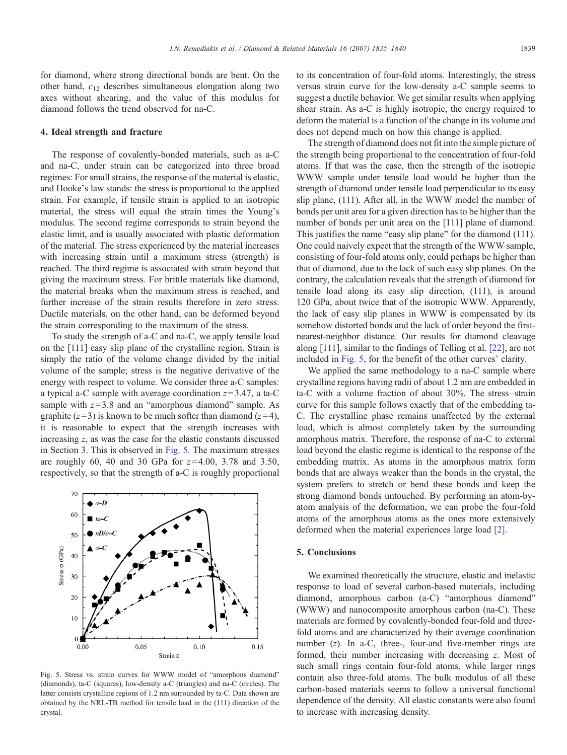for diamond, where strong directional bonds are bent. On the other hand,  $c_{12}$  describes simultaneous elongation along two axes without shearing, and the value of this modulus for diamond follows the trend observed for na-C.

## 4. Ideal strength and fracture

The response of covalently-bonded materials, such as a-C and na-C, under strain can be categorized into three broad regimes: For small strains, the response of the material is elastic, and Hooke's law stands: the stress is proportional to the applied strain. For example, if tensile strain is applied to an isotropic material, the stress will equal the strain times the Young's modulus. The second regime corresponds to strain beyond the elastic limit, and is usually associated with plastic deformation of the material. The stress experienced by the material increases with increasing strain until a maximum stress (strength) is reached. The third regime is associated with strain beyond that giving the maximum stress. For brittle materials like diamond, the material breaks when the maximum stress is reached, and further increase of the strain results therefore in zero stress. Ductile materials, on the other hand, can be deformed beyond the strain corresponding to the maximum of the stress.

To study the strength of a-C and na-C, we apply tensile load on the [111] easy slip plane of the crystalline region. Strain is simply the ratio of the volume change divided by the initial volume of the sample; stress is the negative derivative of the energy with respect to volume. We consider three a-C samples: a typical a-C sample with average coordination  $z=3.47$ , a ta-C sample with  $z=3.8$  and an "amorphous diamond" sample. As graphite ( $z=3$ ) is known to be much softer than diamond ( $z=4$ ), it is reasonable to expect that the strength increases with increasing z, as was the case for the elastic constants discussed in Section 3. This is observed in Fig. 5. The maximum stresses are roughly 60, 40 and 30 GPa for  $z=4.00$ , 3.78 and 3.50, respectively, so that the strength of a-C is roughly proportional



Fig. 5. Stress vs. strain curves for WWW model of "amorphous diamond" (diamonds), ta-C (squares), low-density a-C (triangles) and na-C (circles). The latter consists crystalline regions of 1.2 nm surrounded by ta-C. Data shown are obtained by the NRL-TB method for tensile load in the (111) direction of the crystal.

to its concentration of four-fold atoms. Interestingly, the stress versus strain curve for the low-density a-C sample seems to suggest a ductile behavior. We get similar results when applying shear strain. As a-C is highly isotropic, the energy required to deform the material is a function of the change in its volume and does not depend much on how this change is applied.

The strength of diamond does not fit into the simple picture of the strength being proportional to the concentration of four-fold atoms. If that was the case, then the strength of the isotropic WWW sample under tensile load would be higher than the strength of diamond under tensile load perpendicular to its easy slip plane, (111). After all, in the WWW model the number of bonds per unit area for a given direction has to be higher than the number of bonds per unit area on the [111] plane of diamond. This justifies the name "easy slip plane" for the diamond (111). One could naively expect that the strength of the WWW sample, consisting of four-fold atoms only, could perhaps be higher than that of diamond, due to the lack of such easy slip planes. On the contrary, the calculation reveals that the strength of diamond for tensile load along its easy slip direction, (111), is around 120 GPa, about twice that of the isotropic WWW. Apparently, the lack of easy slip planes in WWW is compensated by its somehow distorted bonds and the lack of order beyond the firstnearest-neighbor distance. Our results for diamond cleavage along [111], similar to the findings of Telling et al. [\[22\]](#page-5-0), are not included in Fig. 5, for the benefit of the other curves' clarity.

We applied the same methodology to a na-C sample where crystalline regions having radii of about 1.2 nm are embedded in ta-C with a volume fraction of about 30%. The stress–strain curve for this sample follows exactly that of the embedding ta-C. The crystalline phase remains unaffected by the external load, which is almost completely taken by the surrounding amorphous matrix. Therefore, the response of na-C to external load beyond the elastic regime is identical to the response of the embedding matrix. As atoms in the amorphous matrix form bonds that are always weaker than the bonds in the crystal, the system prefers to stretch or bend these bonds and keep the strong diamond bonds untouched. By performing an atom-byatom analysis of the deformation, we can probe the four-fold atoms of the amorphous atoms as the ones more extensively deformed when the material experiences large load [\[2\].](#page-5-0)

# 5. Conclusions

We examined theoretically the structure, elastic and inelastic response to load of several carbon-based materials, including diamond, amorphous carbon (a-C) "amorphous diamond" (WWW) and nanocomposite amorphous carbon (na-C). These materials are formed by covalently-bonded four-fold and threefold atoms and are characterized by their average coordination number (z). In a-C, three-, four-and five-member rings are formed, their number increasing with decreasing z. Most of such small rings contain four-fold atoms, while larger rings contain also three-fold atoms. The bulk modulus of all these carbon-based materials seems to follow a universal functional dependence of the density. All elastic constants were also found to increase with increasing density.